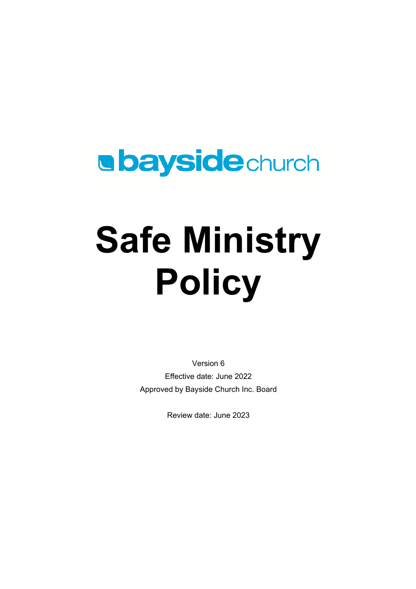## **a bayside**church

# **Safe Ministry Policy**

Version 6 Effective date: June 2022 Approved by Bayside Church Inc. Board

Review date: June 2023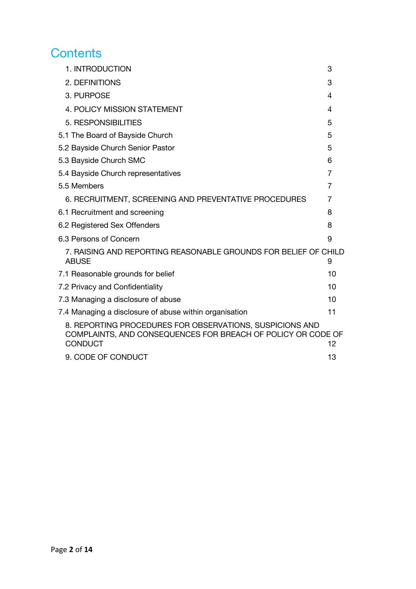#### **Contents**

| 1. INTRODUCTION                                                                                                                            | 3              |
|--------------------------------------------------------------------------------------------------------------------------------------------|----------------|
| 2. DEFINITIONS                                                                                                                             | 3              |
| 3. PURPOSE                                                                                                                                 | 4              |
| 4. POLICY MISSION STATEMENT                                                                                                                | 4              |
| 5. RESPONSIBILITIES                                                                                                                        | 5              |
| 5.1 The Board of Bayside Church                                                                                                            | 5              |
| 5.2 Bayside Church Senior Pastor                                                                                                           | 5              |
| 5.3 Bayside Church SMC                                                                                                                     | 6              |
| 5.4 Bayside Church representatives                                                                                                         | $\overline{7}$ |
| 5.5 Members                                                                                                                                | 7              |
| 6. RECRUITMENT, SCREENING AND PREVENTATIVE PROCEDURES                                                                                      | 7              |
| 6.1 Recruitment and screening                                                                                                              | 8              |
| 6.2 Registered Sex Offenders                                                                                                               | 8              |
| 6.3 Persons of Concern                                                                                                                     | 9              |
| 7. RAISING AND REPORTING REASONABLE GROUNDS FOR BELIEF OF CHILD<br><b>ABUSE</b>                                                            | 9              |
| 7.1 Reasonable grounds for belief                                                                                                          | 10             |
| 7.2 Privacy and Confidentiality                                                                                                            | 10             |
| 7.3 Managing a disclosure of abuse                                                                                                         | 10             |
| 7.4 Managing a disclosure of abuse within organisation                                                                                     | 11             |
| 8. REPORTING PROCEDURES FOR OBSERVATIONS, SUSPICIONS AND<br>COMPLAINTS, AND CONSEQUENCES FOR BREACH OF POLICY OR CODE OF<br><b>CONDUCT</b> | 12             |
| 9. CODE OF CONDUCT                                                                                                                         | 13             |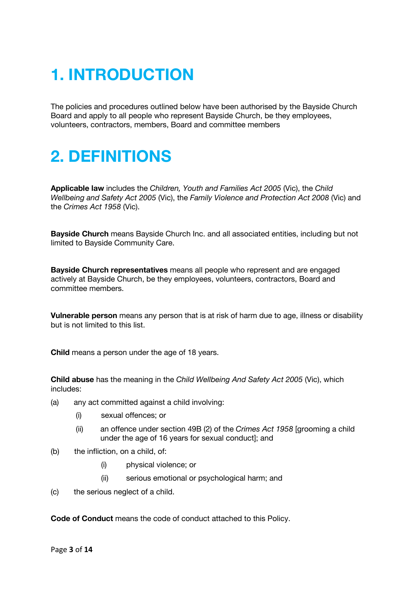## **1. INTRODUCTION**

The policies and procedures outlined below have been authorised by the Bayside Church Board and apply to all people who represent Bayside Church, be they employees, volunteers, contractors, members, Board and committee members

## **2. DEFINITIONS**

**Applicable law** includes the *Children, Youth and Families Act 2005* (Vic), the *Child Wellbeing and Safety Act 2005* (Vic), the *Family Violence and Protection Act 2008* (Vic) and the *Crimes Act 1958* (Vic).

**Bayside Church** means Bayside Church Inc. and all associated entities, including but not limited to Bayside Community Care.

**Bayside Church representatives** means all people who represent and are engaged actively at Bayside Church, be they employees, volunteers, contractors, Board and committee members.

**Vulnerable person** means any person that is at risk of harm due to age, illness or disability but is not limited to this list.

**Child** means a person under the age of 18 years.

**Child abuse** has the meaning in the *Child Wellbeing And Safety Act 2005* (Vic), which includes:

- (a) any act committed against a child involving:
	- (i) sexual offences; or
	- (ii) an offence under section 49B (2) of the *Crimes Act 1958* [grooming a child under the age of 16 years for sexual conduct]; and
- (b) the infliction, on a child, of:
	- (i) physical violence; or
	- (ii) serious emotional or psychological harm; and
- (c) the serious neglect of a child.

**Code of Conduct** means the code of conduct attached to this Policy.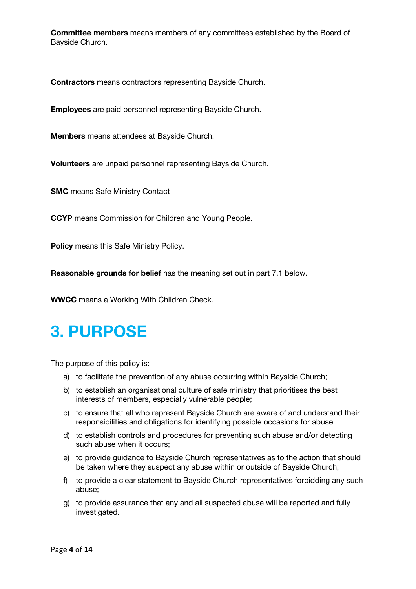**Committee members** means members of any committees established by the Board of Bayside Church.

**Contractors** means contractors representing Bayside Church.

**Employees** are paid personnel representing Bayside Church.

**Members** means attendees at Bayside Church.

**Volunteers** are unpaid personnel representing Bayside Church.

**SMC** means Safe Ministry Contact

**CCYP** means Commission for Children and Young People.

**Policy** means this Safe Ministry Policy.

**Reasonable grounds for belief** has the meaning set out in part 7.1 below.

**WWCC** means a Working With Children Check.

### **3. PURPOSE**

The purpose of this policy is:

- a) to facilitate the prevention of any abuse occurring within Bayside Church;
- b) to establish an organisational culture of safe ministry that prioritises the best interests of members, especially vulnerable people;
- c) to ensure that all who represent Bayside Church are aware of and understand their responsibilities and obligations for identifying possible occasions for abuse
- d) to establish controls and procedures for preventing such abuse and/or detecting such abuse when it occurs;
- e) to provide guidance to Bayside Church representatives as to the action that should be taken where they suspect any abuse within or outside of Bayside Church;
- f) to provide a clear statement to Bayside Church representatives forbidding any such abuse;
- g) to provide assurance that any and all suspected abuse will be reported and fully investigated.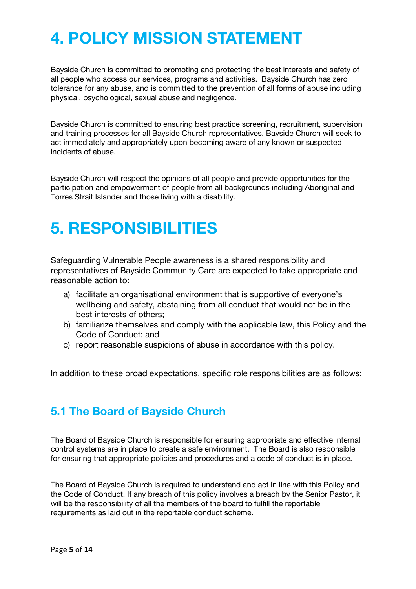## **4. POLICY MISSION STATEMENT**

Bayside Church is committed to promoting and protecting the best interests and safety of all people who access our services, programs and activities. Bayside Church has zero tolerance for any abuse, and is committed to the prevention of all forms of abuse including physical, psychological, sexual abuse and negligence.

Bayside Church is committed to ensuring best practice screening, recruitment, supervision and training processes for all Bayside Church representatives. Bayside Church will seek to act immediately and appropriately upon becoming aware of any known or suspected incidents of abuse.

Bayside Church will respect the opinions of all people and provide opportunities for the participation and empowerment of people from all backgrounds including Aboriginal and Torres Strait Islander and those living with a disability.

## **5. RESPONSIBILITIES**

Safeguarding Vulnerable People awareness is a shared responsibility and representatives of Bayside Community Care are expected to take appropriate and reasonable action to:

- a) facilitate an organisational environment that is supportive of everyone's wellbeing and safety, abstaining from all conduct that would not be in the best interests of others;
- b) familiarize themselves and comply with the applicable law, this Policy and the Code of Conduct; and
- c) report reasonable suspicions of abuse in accordance with this policy.

In addition to these broad expectations, specific role responsibilities are as follows:

#### **5.1 The Board of Bayside Church**

The Board of Bayside Church is responsible for ensuring appropriate and effective internal control systems are in place to create a safe environment. The Board is also responsible for ensuring that appropriate policies and procedures and a code of conduct is in place.

The Board of Bayside Church is required to understand and act in line with this Policy and the Code of Conduct. If any breach of this policy involves a breach by the Senior Pastor, it will be the responsibility of all the members of the board to fulfill the reportable requirements as laid out in the reportable conduct scheme.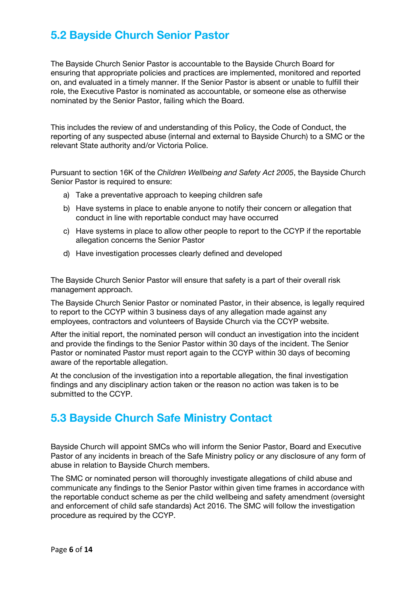#### **5.2 Bayside Church Senior Pastor**

The Bayside Church Senior Pastor is accountable to the Bayside Church Board for ensuring that appropriate policies and practices are implemented, monitored and reported on, and evaluated in a timely manner. If the Senior Pastor is absent or unable to fulfill their role, the Executive Pastor is nominated as accountable, or someone else as otherwise nominated by the Senior Pastor, failing which the Board.

This includes the review of and understanding of this Policy, the Code of Conduct, the reporting of any suspected abuse (internal and external to Bayside Church) to a SMC or the relevant State authority and/or Victoria Police.

Pursuant to section 16K of the *Children Wellbeing and Safety Act 2005*, the Bayside Church Senior Pastor is required to ensure:

- a) Take a preventative approach to keeping children safe
- b) Have systems in place to enable anyone to notify their concern or allegation that conduct in line with reportable conduct may have occurred
- c) Have systems in place to allow other people to report to the CCYP if the reportable allegation concerns the Senior Pastor
- d) Have investigation processes clearly defined and developed

The Bayside Church Senior Pastor will ensure that safety is a part of their overall risk management approach.

The Bayside Church Senior Pastor or nominated Pastor, in their absence, is legally required to report to the CCYP within 3 business days of any allegation made against any employees, contractors and volunteers of Bayside Church via the CCYP website.

After the initial report, the nominated person will conduct an investigation into the incident and provide the findings to the Senior Pastor within 30 days of the incident. The Senior Pastor or nominated Pastor must report again to the CCYP within 30 days of becoming aware of the reportable allegation.

At the conclusion of the investigation into a reportable allegation, the final investigation findings and any disciplinary action taken or the reason no action was taken is to be submitted to the CCYP.

#### **5.3 Bayside Church Safe Ministry Contact**

Bayside Church will appoint SMCs who will inform the Senior Pastor, Board and Executive Pastor of any incidents in breach of the Safe Ministry policy or any disclosure of any form of abuse in relation to Bayside Church members.

The SMC or nominated person will thoroughly investigate allegations of child abuse and communicate any findings to the Senior Pastor within given time frames in accordance with the reportable conduct scheme as per the child wellbeing and safety amendment (oversight and enforcement of child safe standards) Act 2016. The SMC will follow the investigation procedure as required by the CCYP.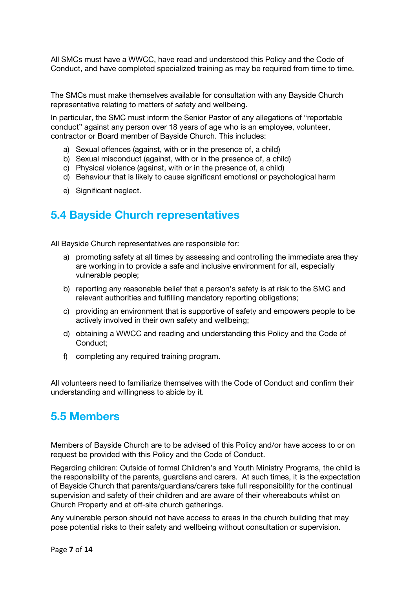All SMCs must have a WWCC, have read and understood this Policy and the Code of Conduct, and have completed specialized training as may be required from time to time.

The SMCs must make themselves available for consultation with any Bayside Church representative relating to matters of safety and wellbeing.

In particular, the SMC must inform the Senior Pastor of any allegations of "reportable conduct" against any person over 18 years of age who is an employee, volunteer, contractor or Board member of Bayside Church. This includes:

- a) Sexual offences (against, with or in the presence of, a child)
- b) Sexual misconduct (against, with or in the presence of, a child)
- c) Physical violence (against, with or in the presence of, a child)
- d) Behaviour that is likely to cause significant emotional or psychological harm
- e) Significant neglect.

#### **5.4 Bayside Church representatives**

All Bayside Church representatives are responsible for:

- a) promoting safety at all times by assessing and controlling the immediate area they are working in to provide a safe and inclusive environment for all, especially vulnerable people;
- b) reporting any reasonable belief that a person's safety is at risk to the SMC and relevant authorities and fulfilling mandatory reporting obligations;
- c) providing an environment that is supportive of safety and empowers people to be actively involved in their own safety and wellbeing;
- d) obtaining a WWCC and reading and understanding this Policy and the Code of Conduct;
- f) completing any required training program.

All volunteers need to familiarize themselves with the Code of Conduct and confirm their understanding and willingness to abide by it.

#### **5.5 Members**

Members of Bayside Church are to be advised of this Policy and/or have access to or on request be provided with this Policy and the Code of Conduct.

Regarding children: Outside of formal Children's and Youth Ministry Programs, the child is the responsibility of the parents, guardians and carers. At such times, it is the expectation of Bayside Church that parents/guardians/carers take full responsibility for the continual supervision and safety of their children and are aware of their whereabouts whilst on Church Property and at off-site church gatherings.

Any vulnerable person should not have access to areas in the church building that may pose potential risks to their safety and wellbeing without consultation or supervision.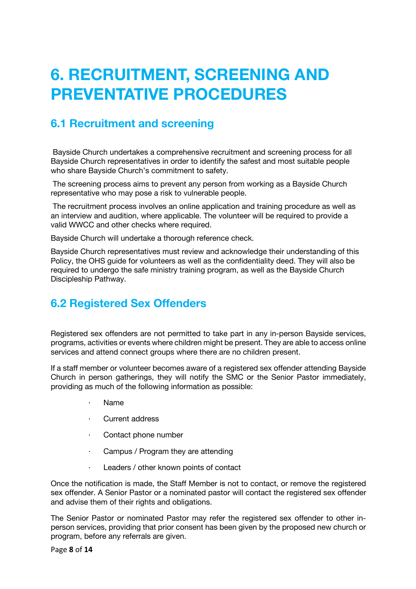## **6. RECRUITMENT, SCREENING AND PREVENTATIVE PROCEDURES**

#### **6.1 Recruitment and screening**

Bayside Church undertakes a comprehensive recruitment and screening process for all Bayside Church representatives in order to identify the safest and most suitable people who share Bayside Church's commitment to safety.

The screening process aims to prevent any person from working as a Bayside Church representative who may pose a risk to vulnerable people.

The recruitment process involves an online application and training procedure as well as an interview and audition, where applicable. The volunteer will be required to provide a valid WWCC and other checks where required.

Bayside Church will undertake a thorough reference check.

Bayside Church representatives must review and acknowledge their understanding of this Policy, the OHS guide for volunteers as well as the confidentiality deed. They will also be required to undergo the safe ministry training program, as well as the Bayside Church Discipleship Pathway.

#### **6.2 Registered Sex Offenders**

Registered sex offenders are not permitted to take part in any in-person Bayside services, programs, activities or events where children might be present. They are able to access online services and attend connect groups where there are no children present.

If a staff member or volunteer becomes aware of a registered sex offender attending Bayside Church in person gatherings, they will notify the SMC or the Senior Pastor immediately, providing as much of the following information as possible:

- · Name
- Current address
- Contact phone number
- · Campus / Program they are attending
- · Leaders / other known points of contact

Once the notification is made, the Staff Member is not to contact, or remove the registered sex offender. A Senior Pastor or a nominated pastor will contact the registered sex offender and advise them of their rights and obligations.

The Senior Pastor or nominated Pastor may refer the registered sex offender to other inperson services, providing that prior consent has been given by the proposed new church or program, before any referrals are given.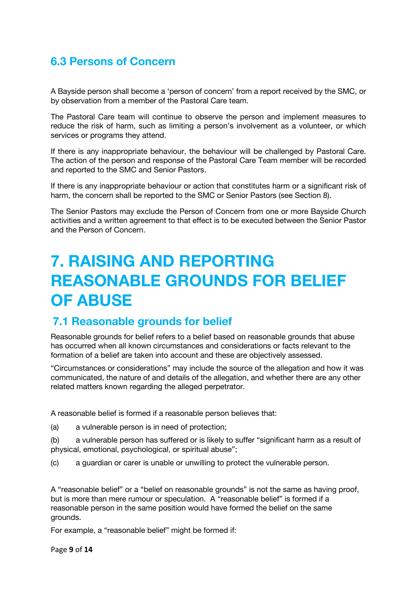#### **6.3 Persons of Concern**

A Bayside person shall become a 'person of concern' from a report received by the SMC, or by observation from a member of the Pastoral Care team.

The Pastoral Care team will continue to observe the person and implement measures to reduce the risk of harm, such as limiting a person's involvement as a volunteer, or which services or programs they attend.

If there is any inappropriate behaviour, the behaviour will be challenged by Pastoral Care. The action of the person and response of the Pastoral Care Team member will be recorded and reported to the SMC and Senior Pastors.

If there is any inappropriate behaviour or action that constitutes harm or a significant risk of harm, the concern shall be reported to the SMC or Senior Pastors (see Section 8).

The Senior Pastors may exclude the Person of Concern from one or more Bayside Church activities and a written agreement to that effect is to be executed between the Senior Pastor and the Person of Concern.

## **7. RAISING AND REPORTING REASONABLE GROUNDS FOR BELIEF OF ABUSE**

#### **7.1 Reasonable grounds for belief**

Reasonable grounds for belief refers to a belief based on reasonable grounds that abuse has occurred when all known circumstances and considerations or facts relevant to the formation of a belief are taken into account and these are objectively assessed.

"Circumstances or considerations" may include the source of the allegation and how it was communicated, the nature of and details of the allegation, and whether there are any other related matters known regarding the alleged perpetrator.

A reasonable belief is formed if a reasonable person believes that:

(a) a vulnerable person is in need of protection;

(b) a vulnerable person has suffered or is likely to suffer "significant harm as a result of physical, emotional, psychological, or spiritual abuse";

(c) a guardian or carer is unable or unwilling to protect the vulnerable person.

A "reasonable belief" or a "belief on reasonable grounds" is not the same as having proof, but is more than mere rumour or speculation. A "reasonable belief" is formed if a reasonable person in the same position would have formed the belief on the same grounds.

For example, a "reasonable belief" might be formed if:

Page **9** of **14**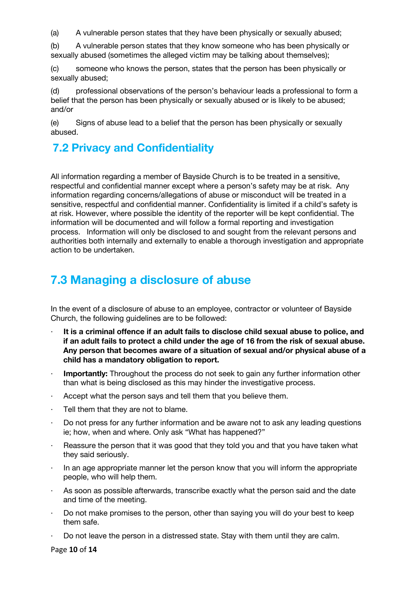(a) A vulnerable person states that they have been physically or sexually abused;

(b) A vulnerable person states that they know someone who has been physically or sexually abused (sometimes the alleged victim may be talking about themselves);

(c) someone who knows the person, states that the person has been physically or sexually abused;

(d) professional observations of the person's behaviour leads a professional to form a belief that the person has been physically or sexually abused or is likely to be abused; and/or

(e) Signs of abuse lead to a belief that the person has been physically or sexually abused.

#### **7.2 Privacy and Confidentiality**

All information regarding a member of Bayside Church is to be treated in a sensitive, respectful and confidential manner except where a person's safety may be at risk. Any information regarding concerns/allegations of abuse or misconduct will be treated in a sensitive, respectful and confidential manner. Confidentiality is limited if a child's safety is at risk. However, where possible the identity of the reporter will be kept confidential. The information will be documented and will follow a formal reporting and investigation process. Information will only be disclosed to and sought from the relevant persons and authorities both internally and externally to enable a thorough investigation and appropriate action to be undertaken.

#### **7.3 Managing a disclosure of abuse**

In the event of a disclosure of abuse to an employee, contractor or volunteer of Bayside Church, the following guidelines are to be followed:

- · **It is a criminal offence if an adult fails to disclose child sexual abuse to police, and if an adult fails to protect a child under the age of 16 from the risk of sexual abuse. Any person that becomes aware of a situation of sexual and/or physical abuse of a child has a mandatory obligation to report.**
- **Importantly:** Throughout the process do not seek to gain any further information other than what is being disclosed as this may hinder the investigative process.
- $\cdot$  Accept what the person says and tell them that you believe them.
- · Tell them that they are not to blame.
- Do not press for any further information and be aware not to ask any leading questions ie; how, when and where. Only ask "What has happened?"
- $\cdot$  Reassure the person that it was good that they told you and that you have taken what they said seriously.
- In an age appropriate manner let the person know that you will inform the appropriate people, who will help them.
- As soon as possible afterwards, transcribe exactly what the person said and the date and time of the meeting.
- · Do not make promises to the person, other than saying you will do your best to keep them safe.
- · Do not leave the person in a distressed state. Stay with them until they are calm.

Page **10** of **14**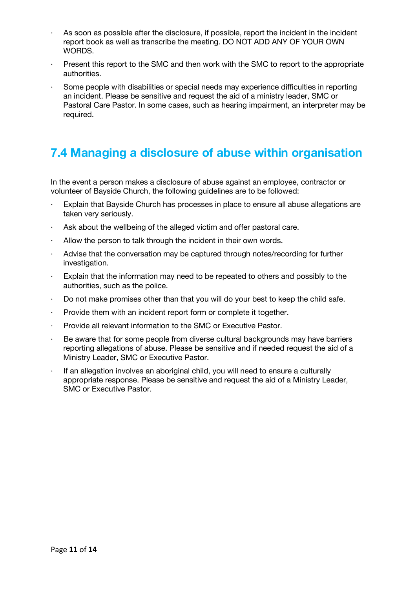- As soon as possible after the disclosure, if possible, report the incident in the incident report book as well as transcribe the meeting. DO NOT ADD ANY OF YOUR OWN WORDS.
- · Present this report to the SMC and then work with the SMC to report to the appropriate authorities.
- Some people with disabilities or special needs may experience difficulties in reporting an incident. Please be sensitive and request the aid of a ministry leader, SMC or Pastoral Care Pastor. In some cases, such as hearing impairment, an interpreter may be required.

#### **7.4 Managing a disclosure of abuse within organisation**

In the event a person makes a disclosure of abuse against an employee, contractor or volunteer of Bayside Church, the following guidelines are to be followed:

- Explain that Bayside Church has processes in place to ensure all abuse allegations are taken very seriously.
- · Ask about the wellbeing of the alleged victim and offer pastoral care.
- · Allow the person to talk through the incident in their own words.
- Advise that the conversation may be captured through notes/recording for further investigation.
- · Explain that the information may need to be repeated to others and possibly to the authorities, such as the police.
- · Do not make promises other than that you will do your best to keep the child safe.
- · Provide them with an incident report form or complete it together.
- · Provide all relevant information to the SMC or Executive Pastor.
- · Be aware that for some people from diverse cultural backgrounds may have barriers reporting allegations of abuse. Please be sensitive and if needed request the aid of a Ministry Leader, SMC or Executive Pastor.
- If an allegation involves an aboriginal child, you will need to ensure a culturally appropriate response. Please be sensitive and request the aid of a Ministry Leader, SMC or Executive Pastor.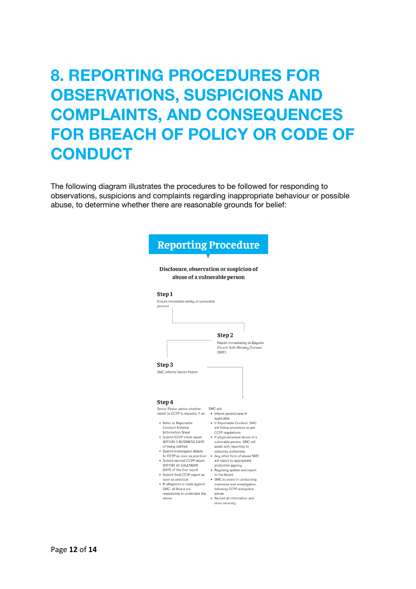## **8. REPORTING PROCEDURES FOR OBSERVATIONS, SUSPICIONS AND COMPLAINTS, AND CONSEQUENCES FOR BREACH OF POLICY OR CODE OF CONDUCT**

The following diagram illustrates the procedures to be followed for responding to observations, suspicions and complaints regarding inappropriate behaviour or possible abuse, to determine whether there are reasonable grounds for belief:

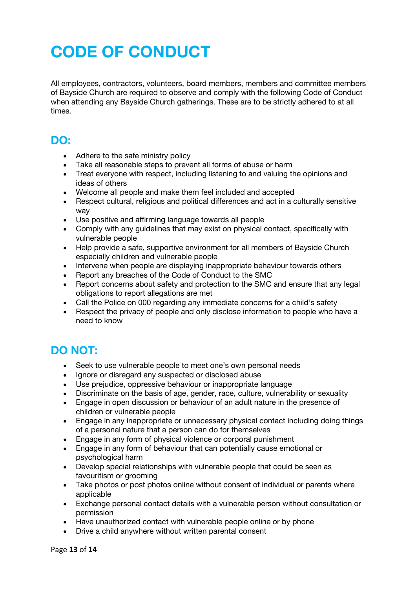## **CODE OF CONDUCT**

All employees, contractors, volunteers, board members, members and committee members of Bayside Church are required to observe and comply with the following Code of Conduct when attending any Bayside Church gatherings. These are to be strictly adhered to at all times.

#### **DO:**

- Adhere to the safe ministry policy
- Take all reasonable steps to prevent all forms of abuse or harm
- Treat everyone with respect, including listening to and valuing the opinions and ideas of others
- Welcome all people and make them feel included and accepted
- Respect cultural, religious and political differences and act in a culturally sensitive way
- Use positive and affirming language towards all people
- Comply with any guidelines that may exist on physical contact, specifically with vulnerable people
- Help provide a safe, supportive environment for all members of Bayside Church especially children and vulnerable people
- Intervene when people are displaying inappropriate behaviour towards others
- Report any breaches of the Code of Conduct to the SMC
- Report concerns about safety and protection to the SMC and ensure that any legal obligations to report allegations are met
- Call the Police on 000 regarding any immediate concerns for a child's safety
- Respect the privacy of people and only disclose information to people who have a need to know

#### **DO NOT:**

- Seek to use vulnerable people to meet one's own personal needs
- Ignore or disregard any suspected or disclosed abuse
- Use prejudice, oppressive behaviour or inappropriate language
- Discriminate on the basis of age, gender, race, culture, vulnerability or sexuality
- Engage in open discussion or behaviour of an adult nature in the presence of children or vulnerable people
- Engage in any inappropriate or unnecessary physical contact including doing things of a personal nature that a person can do for themselves
- Engage in any form of physical violence or corporal punishment
- Engage in any form of behaviour that can potentially cause emotional or psychological harm
- Develop special relationships with vulnerable people that could be seen as favouritism or grooming
- Take photos or post photos online without consent of individual or parents where applicable
- Exchange personal contact details with a vulnerable person without consultation or permission
- Have unauthorized contact with vulnerable people online or by phone
- Drive a child anywhere without written parental consent